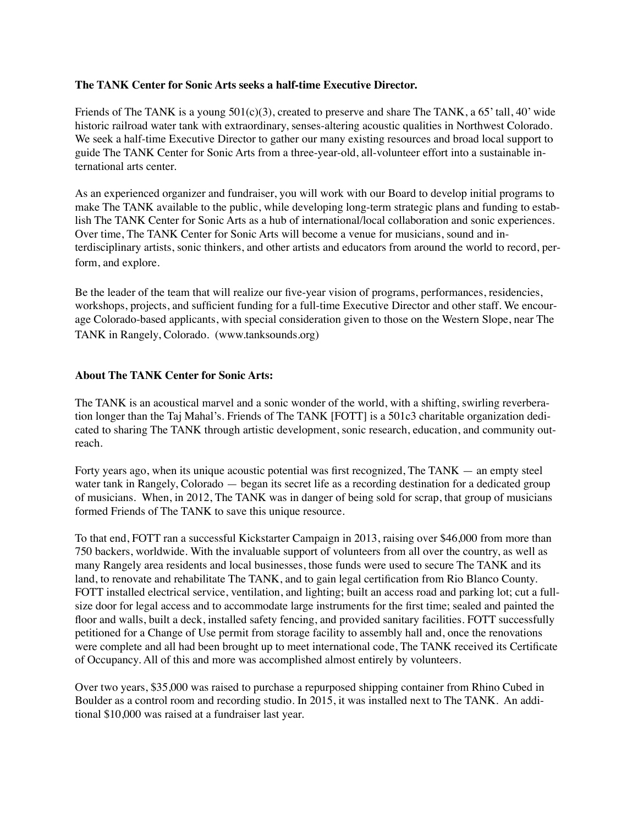#### **The TANK Center for Sonic Arts seeks a half-time Executive Director.**

Friends of The TANK is a young  $501(c)(3)$ , created to preserve and share The TANK, a 65' tall, 40' wide historic railroad water tank with extraordinary, senses-altering acoustic qualities in Northwest Colorado. We seek a half-time Executive Director to gather our many existing resources and broad local support to guide The TANK Center for Sonic Arts from a three-year-old, all-volunteer effort into a sustainable international arts center.

As an experienced organizer and fundraiser, you will work with our Board to develop initial programs to make The TANK available to the public, while developing long-term strategic plans and funding to establish The TANK Center for Sonic Arts as a hub of international/local collaboration and sonic experiences. Over time, The TANK Center for Sonic Arts will become a venue for musicians, sound and interdisciplinary artists, sonic thinkers, and other artists and educators from around the world to record, perform, and explore.

Be the leader of the team that will realize our five-year vision of programs, performances, residencies, workshops, projects, and sufficient funding for a full-time Executive Director and other staff. We encourage Colorado-based applicants, with special consideration given to those on the Western Slope, near The TANK in Rangely, Colorado. [\(www.tanksounds.org\)](http://www.tanksounds.org)

#### **About The TANK Center for Sonic Arts:**

The TANK is an acoustical marvel and a sonic wonder of the world, with a shifting, swirling reverberation longer than the Taj Mahal's. Friends of The TANK [FOTT] is a 501c3 charitable organization dedicated to sharing The TANK through artistic development, sonic research, education, and community outreach.

Forty years ago, when its unique acoustic potential was first recognized, The TANK — an empty steel water tank in Rangely, Colorado — began its secret life as a recording destination for a dedicated group of musicians. When, in 2012, The TANK was in danger of being sold for scrap, that group of musicians formed Friends of The TANK to save this unique resource.

To that end, FOTT ran a successful Kickstarter Campaign in 2013, raising over \$46,000 from more than 750 backers, worldwide. With the invaluable support of volunteers from all over the country, as well as many Rangely area residents and local businesses, those funds were used to secure The TANK and its land, to renovate and rehabilitate The TANK, and to gain legal certification from Rio Blanco County. FOTT installed electrical service, ventilation, and lighting; built an access road and parking lot; cut a fullsize door for legal access and to accommodate large instruments for the first time; sealed and painted the floor and walls, built a deck, installed safety fencing, and provided sanitary facilities. FOTT successfully petitioned for a Change of Use permit from storage facility to assembly hall and, once the renovations were complete and all had been brought up to meet international code, The TANK received its Certificate of Occupancy. All of this and more was accomplished almost entirely by volunteers.

Over two years, \$35,000 was raised to purchase a repurposed shipping container from Rhino Cubed in Boulder as a control room and recording studio. In 2015, it was installed next to The TANK. An additional \$10,000 was raised at a fundraiser last year.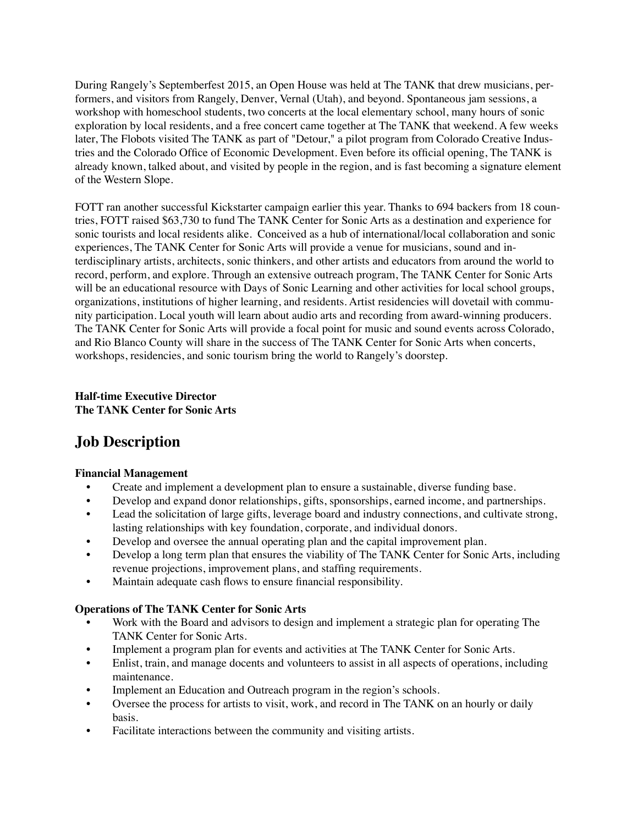During Rangely's Septemberfest 2015, an Open House was held at The TANK that drew musicians, performers, and visitors from Rangely, Denver, Vernal (Utah), and beyond. Spontaneous jam sessions, a workshop with homeschool students, two concerts at the local elementary school, many hours of sonic exploration by local residents, and a free concert came together at The TANK that weekend. A few weeks later, The Flobots visited The TANK as part of "Detour," a pilot program from Colorado Creative Industries and the Colorado Office of Economic Development. Even before its official opening, The TANK is already known, talked about, and visited by people in the region, and is fast becoming a signature element of the Western Slope.

FOTT ran another successful Kickstarter campaign earlier this year. Thanks to 694 backers from 18 countries, FOTT raised \$63,730 to fund The TANK Center for Sonic Arts as a destination and experience for sonic tourists and local residents alike. Conceived as a hub of international/local collaboration and sonic experiences, The TANK Center for Sonic Arts will provide a venue for musicians, sound and interdisciplinary artists, architects, sonic thinkers, and other artists and educators from around the world to record, perform, and explore. Through an extensive outreach program, The TANK Center for Sonic Arts will be an educational resource with Days of Sonic Learning and other activities for local school groups, organizations, institutions of higher learning, and residents. Artist residencies will dovetail with community participation. Local youth will learn about audio arts and recording from award-winning producers. The TANK Center for Sonic Arts will provide a focal point for music and sound events across Colorado, and Rio Blanco County will share in the success of The TANK Center for Sonic Arts when concerts, workshops, residencies, and sonic tourism bring the world to Rangely's doorstep.

# **Half-time Executive Director The TANK Center for Sonic Arts**

# **Job Description**

# **Financial Management**

- Create and implement a development plan to ensure a sustainable, diverse funding base.
- Develop and expand donor relationships, gifts, sponsorships, earned income, and partnerships.
- Lead the solicitation of large gifts, leverage board and industry connections, and cultivate strong, lasting relationships with key foundation, corporate, and individual donors.
- Develop and oversee the annual operating plan and the capital improvement plan.
- Develop a long term plan that ensures the viability of The TANK Center for Sonic Arts, including revenue projections, improvement plans, and staffing requirements.
- Maintain adequate cash flows to ensure financial responsibility.

# **Operations of The TANK Center for Sonic Arts**

- Work with the Board and advisors to design and implement a strategic plan for operating The TANK Center for Sonic Arts.
- Implement a program plan for events and activities at The TANK Center for Sonic Arts.
- Enlist, train, and manage docents and volunteers to assist in all aspects of operations, including maintenance.
- Implement an Education and Outreach program in the region's schools.
- Oversee the process for artists to visit, work, and record in The TANK on an hourly or daily basis.
- Facilitate interactions between the community and visiting artists.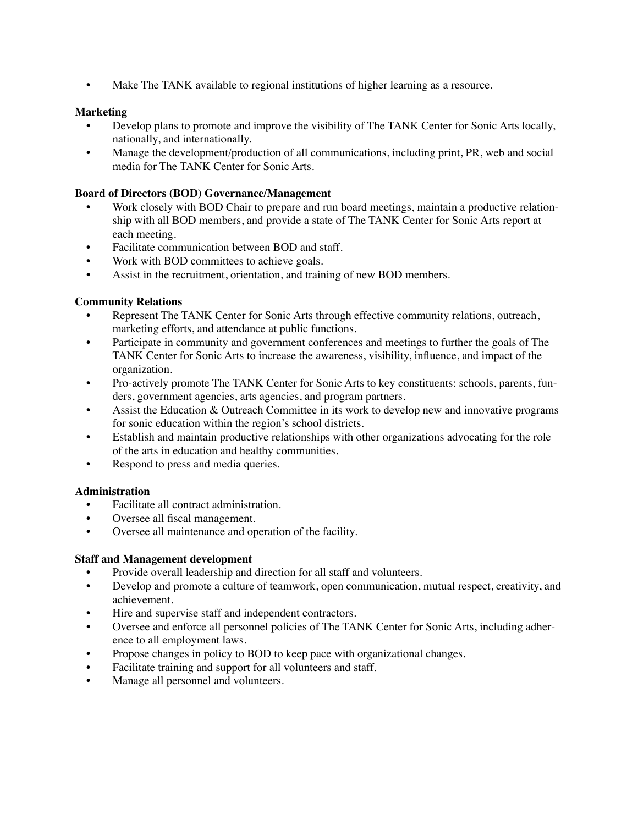• Make The TANK available to regional institutions of higher learning as a resource.

# **Marketing**

- Develop plans to promote and improve the visibility of The TANK Center for Sonic Arts locally, nationally, and internationally.
- Manage the development/production of all communications, including print, PR, web and social media for The TANK Center for Sonic Arts.

#### **Board of Directors (BOD) Governance/Management**

- Work closely with BOD Chair to prepare and run board meetings, maintain a productive relationship with all BOD members, and provide a state of The TANK Center for Sonic Arts report at each meeting.
- Facilitate communication between BOD and staff.
- Work with BOD committees to achieve goals.
- Assist in the recruitment, orientation, and training of new BOD members.

#### **Community Relations**

- Represent The TANK Center for Sonic Arts through effective community relations, outreach, marketing efforts, and attendance at public functions.
- Participate in community and government conferences and meetings to further the goals of The TANK Center for Sonic Arts to increase the awareness, visibility, influence, and impact of the organization.
- Pro-actively promote The TANK Center for Sonic Arts to key constituents: schools, parents, funders, government agencies, arts agencies, and program partners.
- Assist the Education & Outreach Committee in its work to develop new and innovative programs for sonic education within the region's school districts.
- Establish and maintain productive relationships with other organizations advocating for the role of the arts in education and healthy communities.
- Respond to press and media queries.

#### **Administration**

- Facilitate all contract administration.
- Oversee all fiscal management.
- Oversee all maintenance and operation of the facility.

#### **Staff and Management development**

- Provide overall leadership and direction for all staff and volunteers.
- Develop and promote a culture of teamwork, open communication, mutual respect, creativity, and achievement.
- Hire and supervise staff and independent contractors.
- Oversee and enforce all personnel policies of The TANK Center for Sonic Arts, including adherence to all employment laws.
- Propose changes in policy to BOD to keep pace with organizational changes.
- Facilitate training and support for all volunteers and staff.
- Manage all personnel and volunteers.